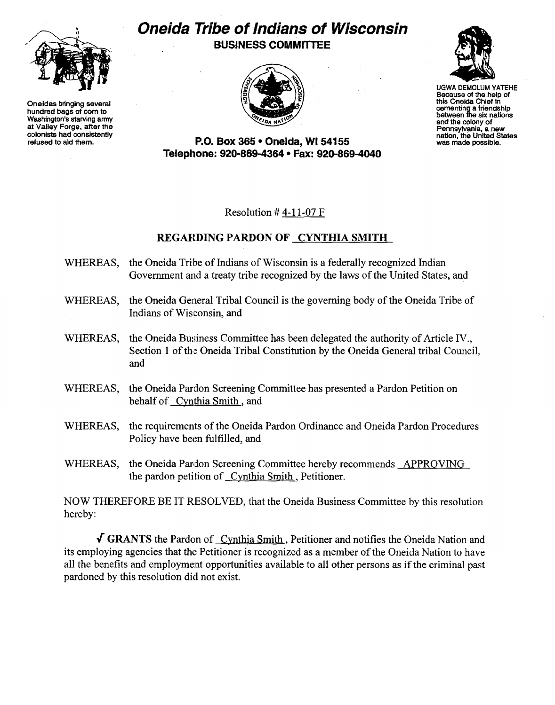

Oneidas bringing several hundred bags of com to Washington's starving army at Valley Forge, after the colonists had consistently refused to aid them.

## **Oneida Tribe of Indians of Wisconsin**  BUSINESS COMMITTEE





UGWA DEMOLUM YATEHE Because of the help of this Oneida Chief In cementing a friendship between the six nations and the colony of<br>Pennsylvania, a new nation, the United States<br>was made possible.

P.O. Box 365· Oneida, WI 54155 Telephone: 920-869-4364 • Fax: 920-869-4040

Resolution  $#$  4-11-07 F

## REGARDING PARDON OF CYNTHIA SMITH

- WHEREAS, the Oneida Tribe of Indians of Wisconsin is a federally recognized Indian Government and a treaty tribe recognized by the laws of the United States, and
- WHEREAS, the Oneida General Tribal Council is the governing body of the Oneida Tribe of Indians of Wisconsin, and
- WHEREAS, the Oneida Business Committee has been delegated the authority of Article IV. Section 1 of the Oneida Tribal Constitution by the Oneida General tribal Council, and
- WHEREAS, the Oneida Pardon Screening Committee has presented a Pardon Petition on behalf of Cynthia Smith, and
- WHEREAS, the requirements of the Oneida Pardon Ordinance and Oneida Pardon Procedures Policy have been fulfilled, and
- WHEREAS, the Oneida Pardon Screening Committee hereby recommends APPROVING the pardon petition of Cynthia Smith, Petitioner.

NOW THEREFORE BE IT RESOLVED, that the Oneida Business Committee by this resolution hereby:

 $\sqrt{\text{GRANTS}}$  the Pardon of Cynthia Smith, Petitioner and notifies the Oneida Nation and its employing agencies that the Petitioner is recognized as a member of the Oneida Nation to have all the benefits and employment opportunities available to all other persons as if the criminal past pardoned by this resolution did not exist.